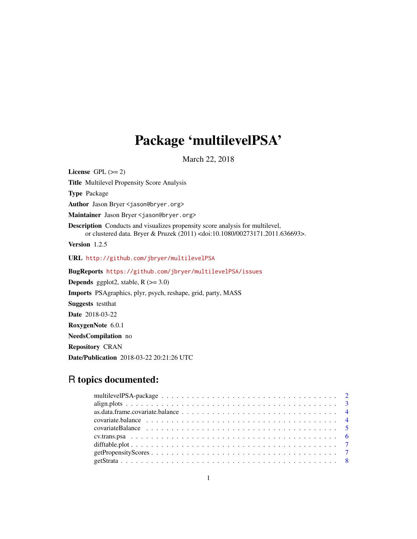## Package 'multilevelPSA'

March 22, 2018

<span id="page-0-0"></span>License GPL  $(>= 2)$ Title Multilevel Propensity Score Analysis Type Package Author Jason Bryer <jason@bryer.org> Maintainer Jason Bryer <jason@bryer.org> Description Conducts and visualizes propensity score analysis for multilevel, or clustered data. Bryer & Pruzek (2011) <doi:10.1080/00273171.2011.636693>. Version 1.2.5 URL <http://github.com/jbryer/multilevelPSA> BugReports <https://github.com/jbryer/multilevelPSA/issues> **Depends** ggplot2, xtable,  $R$  ( $>= 3.0$ ) Imports PSAgraphics, plyr, psych, reshape, grid, party, MASS Suggests testthat Date 2018-03-22 RoxygenNote 6.0.1 NeedsCompilation no Repository CRAN Date/Publication 2018-03-22 20:21:26 UTC

### R topics documented: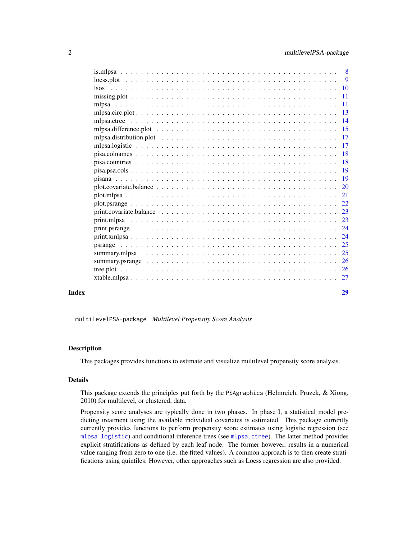<span id="page-1-0"></span>

| Index |                                                                                                                      | 29 |
|-------|----------------------------------------------------------------------------------------------------------------------|----|
|       |                                                                                                                      |    |
|       |                                                                                                                      |    |
|       |                                                                                                                      |    |
|       |                                                                                                                      |    |
|       |                                                                                                                      |    |
|       |                                                                                                                      |    |
|       |                                                                                                                      |    |
|       |                                                                                                                      |    |
|       | print.covariate.balance $\ldots \ldots \ldots \ldots \ldots \ldots \ldots \ldots \ldots \ldots \ldots \ldots \ldots$ |    |
|       |                                                                                                                      |    |
|       |                                                                                                                      |    |
|       |                                                                                                                      |    |
|       |                                                                                                                      |    |
|       |                                                                                                                      |    |
|       |                                                                                                                      |    |
|       |                                                                                                                      |    |
|       |                                                                                                                      |    |
|       |                                                                                                                      |    |
|       |                                                                                                                      |    |
|       |                                                                                                                      |    |
|       |                                                                                                                      |    |
|       |                                                                                                                      |    |
|       |                                                                                                                      |    |
|       |                                                                                                                      |    |
|       |                                                                                                                      |    |
|       |                                                                                                                      |    |

multilevelPSA-package *Multilevel Propensity Score Analysis*

#### **Description**

This packages provides functions to estimate and visualize multilevel propensity score analysis.

#### Details

This package extends the principles put forth by the PSAgraphics (Helmreich, Pruzek, & Xiong, 2010) for multilevel, or clustered, data.

Propensity score analyses are typically done in two phases. In phase I, a statistical model predicting treatment using the available individual covariates is estimated. This package currently currently provides functions to perform propensity score estimates using logistic regression (see [mlpsa.logistic](#page-16-1)) and conditional inference trees (see [mlpsa.ctree](#page-13-1)). The latter method provides explicit stratifications as defined by each leaf node. The former however, results in a numerical value ranging from zero to one (i.e. the fitted values). A common approach is to then create stratifications using quintiles. However, other approaches such as Loess regression are also provided.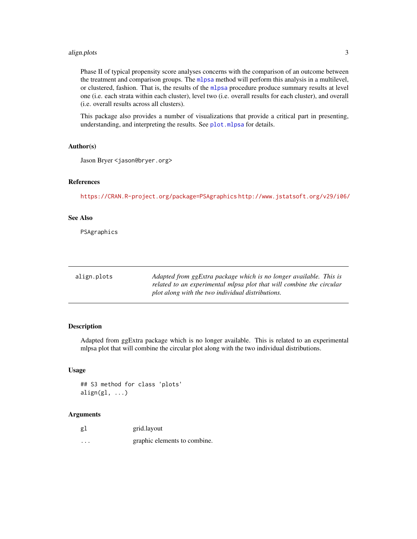#### <span id="page-2-0"></span>align.plots 3

Phase II of typical propensity score analyses concerns with the comparison of an outcome between the treatment and comparison groups. The [mlpsa](#page-10-1) method will perform this analysis in a multilevel, or clustered, fashion. That is, the results of the [mlpsa](#page-10-1) procedure produce summary results at level one (i.e. each strata within each cluster), level two (i.e. overall results for each cluster), and overall (i.e. overall results across all clusters).

This package also provides a number of visualizations that provide a critical part in presenting, understanding, and interpreting the results. See [plot.mlpsa](#page-20-1) for details.

#### Author(s)

Jason Bryer <jason@bryer.org>

#### References

<https://CRAN.R-project.org/package=PSAgraphics> <http://www.jstatsoft.org/v29/i06/>

#### See Also

PSAgraphics

| align.plots | Adapted from ggExtra package which is no longer available. This is   |
|-------------|----------------------------------------------------------------------|
|             | related to an experimental mlpsa plot that will combine the circular |
|             | plot along with the two individual distributions.                    |

#### Description

Adapted from ggExtra package which is no longer available. This is related to an experimental mlpsa plot that will combine the circular plot along with the two individual distributions.

#### Usage

```
## S3 method for class 'plots'
align(g1, ...)
```

| gl       | grid.layout                  |
|----------|------------------------------|
| $\cdots$ | graphic elements to combine. |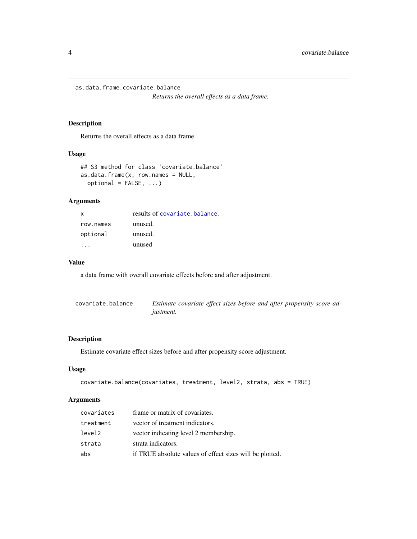<span id="page-3-0"></span>as.data.frame.covariate.balance

*Returns the overall effects as a data frame.*

#### Description

Returns the overall effects as a data frame.

#### Usage

```
## S3 method for class 'covariate.balance'
as.data.frame(x, row.name = NULL,optional = FALSE, ...)
```
#### Arguments

| X         | results of covariate.balance. |
|-----------|-------------------------------|
| row.names | unused.                       |
| optional  | unused.                       |
|           | unused                        |

#### Value

a data frame with overall covariate effects before and after adjustment.

<span id="page-3-1"></span>

| covariate.balance | Estimate covariate effect sizes before and after propensity score ad- |
|-------------------|-----------------------------------------------------------------------|
|                   | <i>justment.</i>                                                      |

#### Description

Estimate covariate effect sizes before and after propensity score adjustment.

#### Usage

```
covariate.balance(covariates, treatment, level2, strata, abs = TRUE)
```

| covariates | frame or matrix of covariates.                           |
|------------|----------------------------------------------------------|
| treatment  | vector of treatment indicators.                          |
| level2     | vector indicating level 2 membership.                    |
| strata     | strata indicators.                                       |
| abs        | if TRUE absolute values of effect sizes will be plotted. |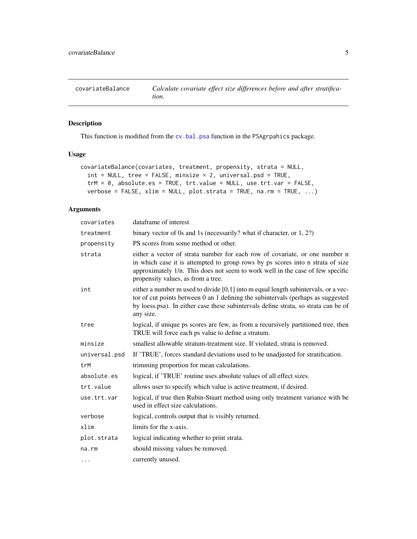<span id="page-4-0"></span>

#### Description

This function is modified from the [cv.bal.psa](#page-0-0) function in the PSAgrpahics package.

#### Usage

```
covariateBalance(covariates, treatment, propensity, strata = NULL,
  int = NULL, tree = FALSE, minsize = 2, universal.psd = TRUE,
  trM = 0, absolute.es = TRUE, trt.value = NULL, use.trt.var = FALSE,
  verbose = FALSE, xlim = NULL, plot.strata = TRUE, nan = TRUE, ...)
```

| covariates    | dataframe of interest                                                                                                                                                                                                                                                                 |
|---------------|---------------------------------------------------------------------------------------------------------------------------------------------------------------------------------------------------------------------------------------------------------------------------------------|
| treatment     | binary vector of 0s and 1s (necessarily? what if character, or $1, 2$ ?)                                                                                                                                                                                                              |
| propensity    | PS scores from some method or other.                                                                                                                                                                                                                                                  |
| strata        | either a vector of strata number for each row of covariate, or one number n<br>in which case it is attempted to group rows by ps scores into n strata of size<br>approximately 1/n. This does not seem to work well in the case of few specific<br>propensity values, as from a tree. |
| int           | either a number m used to divide $[0,1]$ into m equal length subintervals, or a vec-<br>tor of cut points between 0 an 1 defining the subintervals (perhaps as suggested<br>by loess.psa). In either case these subintervals define strata, so strata can be of<br>any size.          |
| tree          | logical, if unique ps scores are few, as from a recursively partitioned tree, then<br>TRUE will force each ps value to define a stratum.                                                                                                                                              |
| minsize       | smallest allowable stratum-treatment size. If violated, strata is removed.                                                                                                                                                                                                            |
| universal.psd | If 'TRUE', forces standard deviations used to be unadjusted for stratification.                                                                                                                                                                                                       |
| trM           | trimming proportion for mean calculations.                                                                                                                                                                                                                                            |
| absolute.es   | logical, if 'TRUE' routine uses absolute values of all effect sizes.                                                                                                                                                                                                                  |
| trt.value     | allows user to specify which value is active treatment, if desired.                                                                                                                                                                                                                   |
| use.trt.var   | logical, if true then Rubin-Stuart method using only treatment variance with be<br>used in effect size calculations.                                                                                                                                                                  |
| verbose       | logical, controls output that is visibly returned.                                                                                                                                                                                                                                    |
| xlim          | limits for the x-axis.                                                                                                                                                                                                                                                                |
| plot.strata   | logical indicating whether to print strata.                                                                                                                                                                                                                                           |
| $na$ . $rm$   | should missing values be removed.                                                                                                                                                                                                                                                     |
| .             | currently unused.                                                                                                                                                                                                                                                                     |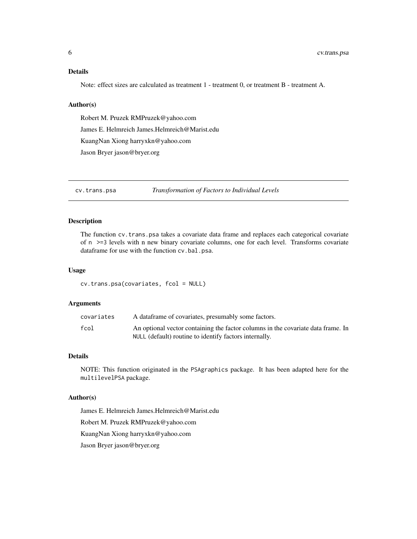#### <span id="page-5-0"></span>Details

Note: effect sizes are calculated as treatment 1 - treatment 0, or treatment B - treatment A.

#### Author(s)

Robert M. Pruzek RMPruzek@yahoo.com James E. Helmreich James.Helmreich@Marist.edu KuangNan Xiong harryxkn@yahoo.com Jason Bryer jason@bryer.org

cv.trans.psa *Transformation of Factors to Individual Levels*

#### Description

The function cv.trans.psa takes a covariate data frame and replaces each categorical covariate of n >=3 levels with n new binary covariate columns, one for each level. Transforms covariate dataframe for use with the function cv.bal.psa.

#### Usage

cv.trans.psa(covariates, fcol = NULL)

#### Arguments

| covariates | A data frame of covariates, presumably some factors.                             |
|------------|----------------------------------------------------------------------------------|
| fcol       | An optional vector containing the factor columns in the covariate data frame. In |
|            | NULL (default) routine to identify factors internally.                           |

#### Details

NOTE: This function originated in the PSAgraphics package. It has been adapted here for the multilevelPSA package.

#### Author(s)

James E. Helmreich James.Helmreich@Marist.edu

Robert M. Pruzek RMPruzek@yahoo.com

KuangNan Xiong harryxkn@yahoo.com

Jason Bryer jason@bryer.org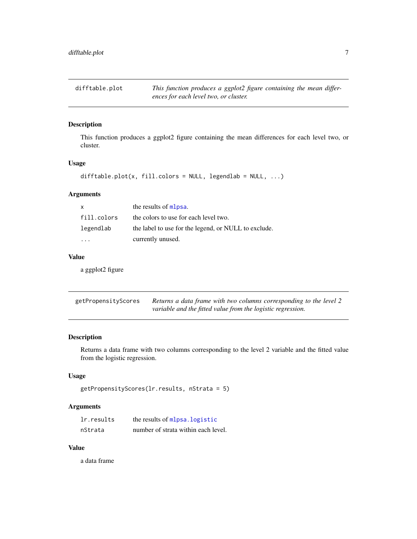<span id="page-6-0"></span>difftable.plot *This function produces a ggplot2 figure containing the mean differences for each level two, or cluster.*

#### Description

This function produces a ggplot2 figure containing the mean differences for each level two, or cluster.

#### Usage

```
difftable.plot(x, fill.colors = NULL, legendlab = NULL, ...)
```
#### Arguments

| $\mathsf{x}$ | the results of mlpsa.                                |
|--------------|------------------------------------------------------|
| fill.colors  | the colors to use for each level two.                |
| legendlab    | the label to use for the legend, or NULL to exclude. |
|              | currently unused.                                    |

#### Value

a ggplot2 figure

| getPropensityScores | Returns a data frame with two columns corresponding to the level 2 |
|---------------------|--------------------------------------------------------------------|
|                     | variable and the fitted value from the logistic regression.        |

#### Description

Returns a data frame with two columns corresponding to the level 2 variable and the fitted value from the logistic regression.

#### Usage

```
getPropensityScores(lr.results, nStrata = 5)
```
#### Arguments

| lr.results | the results of mlpsa. logistic      |
|------------|-------------------------------------|
| nStrata    | number of strata within each level. |

#### Value

a data frame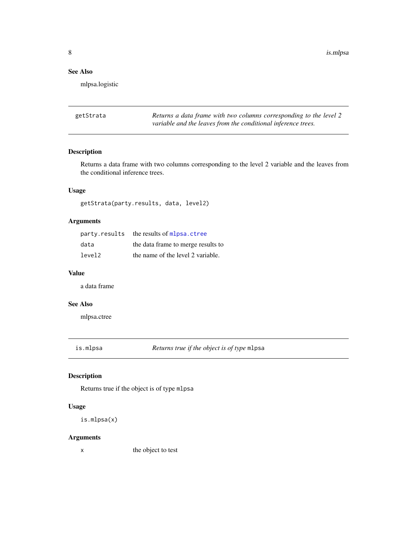#### <span id="page-7-0"></span>See Also

mlpsa.logistic

<span id="page-7-1"></span>getStrata *Returns a data frame with two columns corresponding to the level 2 variable and the leaves from the conditional inference trees.*

#### Description

Returns a data frame with two columns corresponding to the level 2 variable and the leaves from the conditional inference trees.

#### Usage

getStrata(party.results, data, level2)

#### Arguments

|        | party.results the results of mlpsa.ctree |
|--------|------------------------------------------|
| data   | the data frame to merge results to       |
| level2 | the name of the level 2 variable.        |

#### Value

a data frame

#### See Also

mlpsa.ctree

is.mlpsa *Returns true if the object is of type* mlpsa

#### Description

Returns true if the object is of type mlpsa

#### Usage

```
is.mlpsa(x)
```
#### Arguments

x the object to test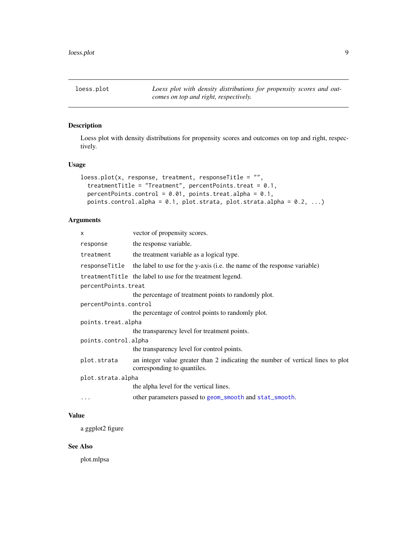<span id="page-8-0"></span>loess.plot *Loess plot with density distributions for propensity scores and outcomes on top and right, respectively.*

#### Description

Loess plot with density distributions for propensity scores and outcomes on top and right, respectively.

#### Usage

```
loess.plot(x, response, treatment, responseTitle = ",
  treatmentTitle = "Treatment", percentPoints.treat = 0.1,
 percentPoints.control = 0.01, points.treat.alpha = 0.1,
 points.control.alpha = 0.1, plot.strata, plot.strata.alpha = 0.2, ...)
```
#### Arguments

| X                     | vector of propensity scores.                                                                                   |  |
|-----------------------|----------------------------------------------------------------------------------------------------------------|--|
| response              | the response variable.                                                                                         |  |
| treatment             | the treatment variable as a logical type.                                                                      |  |
| responseTitle         | the label to use for the y-axis (i.e. the name of the response variable)                                       |  |
|                       | treatment Title the label to use for the treatment legend.                                                     |  |
| percentPoints.treat   |                                                                                                                |  |
|                       | the percentage of treatment points to randomly plot.                                                           |  |
| percentPoints.control |                                                                                                                |  |
|                       | the percentage of control points to randomly plot.                                                             |  |
| points.treat.alpha    |                                                                                                                |  |
|                       | the transparency level for treatment points.                                                                   |  |
| points.control.alpha  |                                                                                                                |  |
|                       | the transparency level for control points.                                                                     |  |
| plot.strata           | an integer value greater than 2 indicating the number of vertical lines to plot<br>corresponding to quantiles. |  |
| plot.strata.alpha     |                                                                                                                |  |
|                       | the alpha level for the vertical lines.                                                                        |  |
| $\cdots$              | other parameters passed to geom_smooth and stat_smooth.                                                        |  |
|                       |                                                                                                                |  |

#### Value

a ggplot2 figure

#### See Also

plot.mlpsa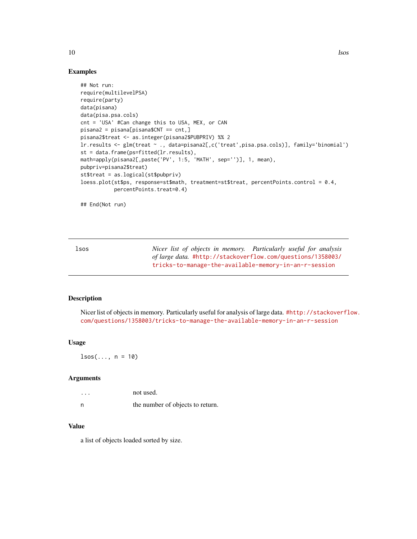10 lsos

#### Examples

```
## Not run:
require(multilevelPSA)
require(party)
data(pisana)
data(pisa.psa.cols)
cnt = 'USA' #Can change this to USA, MEX, or CAN
pisana2 = pisana[pisana$CNT == cnt,]
pisana2$treat <- as.integer(pisana2$PUBPRIV) %% 2
lr.results <- glm(treat ~ ., data=pisana2[,c('treat',pisa.psa.cols)], family='binomial')
st = data.frame(ps=fitted(lr.results),
math=apply(pisana2[,paste('PV', 1:5, 'MATH', sep='')], 1, mean),
pubpriv=pisana2$treat)
st$treat = as.logical(st$pubpriv)
loess.plot(st$ps, response=st$math, treatment=st$treat, percentPoints.control = 0.4,
           percentPoints.treat=0.4)
```
## End(Not run)

lsos *Nicer list of objects in memory. Particularly useful for analysis of large data.* [#http://stackoverflow.com/questions/1358003/](# http://stackoverflow.com/questions/1358003/tricks-to-manage-the-available-memory-in-an-r-session) [tricks-to-manage-the-available-memory-in-an-r-session](# http://stackoverflow.com/questions/1358003/tricks-to-manage-the-available-memory-in-an-r-session)

#### Description

Nicer list of objects in memory. Particularly useful for analysis of large data. [#http://stackoverfl](# http://stackoverflow.com/questions/1358003/tricks-to-manage-the-available-memory-in-an-r-session)ow. [com/questions/1358003/tricks-to-manage-the-available-memory-in-an-r-session](# http://stackoverflow.com/questions/1358003/tricks-to-manage-the-available-memory-in-an-r-session)

#### Usage

 $lsos(..., n = 10)$ 

#### Arguments

| $\cdots$ | not used.                        |
|----------|----------------------------------|
| n        | the number of objects to return. |

#### Value

a list of objects loaded sorted by size.

<span id="page-9-0"></span>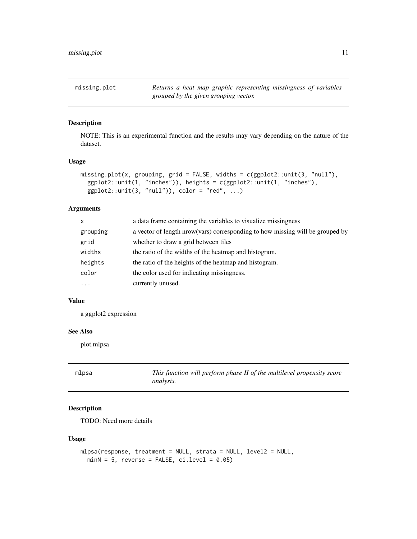<span id="page-10-0"></span>missing.plot *Returns a heat map graphic representing missingness of variables grouped by the given grouping vector.*

#### Description

NOTE: This is an experimental function and the results may vary depending on the nature of the dataset.

#### Usage

```
missing.plot(x, grouping, grid = FALSE, widths = c(ggplot2::unit(3, "null"),
  ggplot2::unit(1, "inches")), heights = c(ggplot2::unit(1, "inches"),
  ggplot2::unit(3, "null")), color = "red", ...)
```
#### Arguments

| X         | a data frame containing the variables to visualize missingness                |
|-----------|-------------------------------------------------------------------------------|
| grouping  | a vector of length nrow(vars) corresponding to how missing will be grouped by |
| grid      | whether to draw a grid between tiles                                          |
| widths    | the ratio of the widths of the heatmap and histogram.                         |
| heights   | the ratio of the heights of the heatmap and histogram.                        |
| color     | the color used for indicating missingness.                                    |
| $\ddotsc$ | currently unused.                                                             |
|           |                                                                               |

#### Value

a ggplot2 expression

#### See Also

plot.mlpsa

<span id="page-10-1"></span>

| mlpsa | This function will perform phase II of the multilevel propensity score |
|-------|------------------------------------------------------------------------|
|       | analysis.                                                              |

#### Description

TODO: Need more details

```
mlpsa(response, treatment = NULL, strata = NULL, level2 = NULL,
 minN = 5, reverse = FALSE, ci.level = 0.05)
```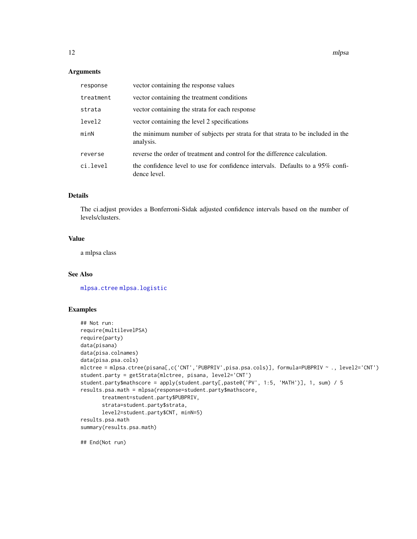#### <span id="page-11-0"></span>Arguments

| response  | vector containing the response values                                                          |
|-----------|------------------------------------------------------------------------------------------------|
| treatment | vector containing the treatment conditions                                                     |
| strata    | vector containing the strata for each response                                                 |
| level2    | vector containing the level 2 specifications                                                   |
| minN      | the minimum number of subjects per strata for that strata to be included in the<br>analysis.   |
| reverse   | reverse the order of treatment and control for the difference calculation.                     |
| ci.level  | the confidence level to use for confidence intervals. Defaults to a 95% confi-<br>dence level. |

#### Details

The ci.adjust provides a Bonferroni-Sidak adjusted confidence intervals based on the number of levels/clusters.

#### Value

a mlpsa class

#### See Also

[mlpsa.ctree](#page-13-1) [mlpsa.logistic](#page-16-1)

#### Examples

```
## Not run:
require(multilevelPSA)
require(party)
data(pisana)
data(pisa.colnames)
data(pisa.psa.cols)
mlctree = mlpsa.ctree(pisana[,c('CNT','PUBPRIV',pisa.psa.cols)], formula=PUBPRIV ~ ., level2='CNT')
student.party = getStrata(mlctree, pisana, level2='CNT')
student.party$mathscore = apply(student.party[,paste0('PV', 1:5, 'MATH')], 1, sum) / 5
results.psa.math = mlpsa(response=student.party$mathscore,
       treatment=student.party$PUBPRIV,
       strata=student.party$strata,
      level2=student.party$CNT, minN=5)
results.psa.math
summary(results.psa.math)
```
## End(Not run)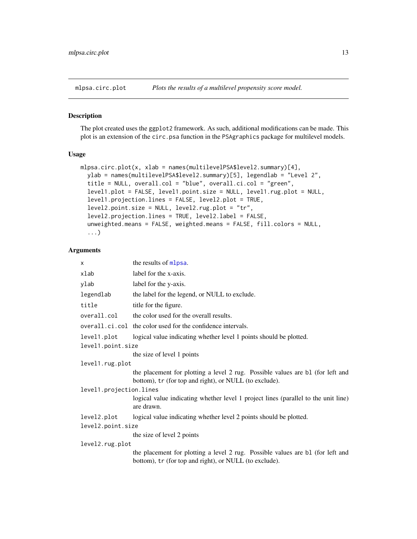<span id="page-12-1"></span><span id="page-12-0"></span>

#### Description

The plot created uses the ggplot2 framework. As such, additional modifications can be made. This plot is an extension of the circ.psa function in the PSAgraphics package for multilevel models.

#### Usage

```
mlpsa.circ.plot(x, xlab = names(multilevelPSA$level2.summary)[4],
 ylab = names(multilevelPSA$level2.summary)[5], legendlab = "Level 2",
  title = NULL, overall.col = "blue", overall.ci.col = "green",
  level1.plot = FALSE, level1.point.size = NULL, level1.rug.plot = NULL,
  level1.projection.lines = FALSE, level2.plot = TRUE,
  level2.point.size = NULL, level2.rug.plot = "tr",
  level2.projection.lines = TRUE, level2.label = FALSE,
  unweighted.means = FALSE, weighted.means = FALSE, fill.colors = NULL,
  ...)
```

| X                       | the results of mlpsa.                                                                                                                    |  |
|-------------------------|------------------------------------------------------------------------------------------------------------------------------------------|--|
| xlab                    | label for the x-axis.                                                                                                                    |  |
| ylab                    | label for the y-axis.                                                                                                                    |  |
| legendlab               | the label for the legend, or NULL to exclude.                                                                                            |  |
| title                   | title for the figure.                                                                                                                    |  |
| overall.col             | the color used for the overall results.                                                                                                  |  |
|                         | overall.ci.col the color used for the confidence intervals.                                                                              |  |
| level1.plot             | logical value indicating whether level 1 points should be plotted.                                                                       |  |
| level1.point.size       |                                                                                                                                          |  |
|                         | the size of level 1 points                                                                                                               |  |
| level1.rug.plot         |                                                                                                                                          |  |
|                         | the placement for plotting a level 2 rug. Possible values are b1 (for left and<br>bottom), tr (for top and right), or NULL (to exclude). |  |
| level1.projection.lines |                                                                                                                                          |  |
|                         | logical value indicating whether level 1 project lines (parallel to the unit line)<br>are drawn.                                         |  |
| level2.plot             | logical value indicating whether level 2 points should be plotted.                                                                       |  |
| level2.point.size       |                                                                                                                                          |  |
|                         | the size of level 2 points                                                                                                               |  |
| level2.rug.plot         |                                                                                                                                          |  |
|                         | the placement for plotting a level 2 rug. Possible values are b1 (for left and<br>bottom), tr (for top and right), or NULL (to exclude). |  |
|                         |                                                                                                                                          |  |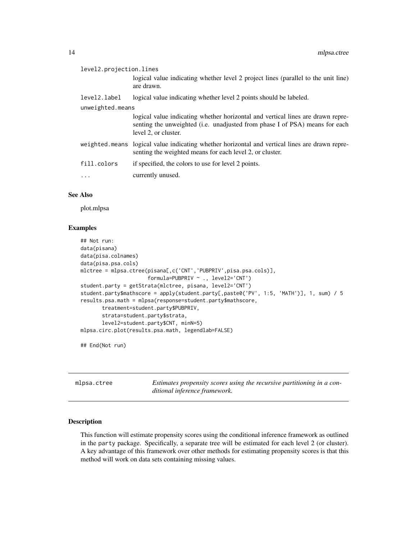<span id="page-13-0"></span>

| level2.projection.lines |                                                                                                                                                                                                |  |
|-------------------------|------------------------------------------------------------------------------------------------------------------------------------------------------------------------------------------------|--|
|                         | logical value indicating whether level 2 project lines (parallel to the unit line)<br>are drawn.                                                                                               |  |
| level2.label            | logical value indicating whether level 2 points should be labeled.                                                                                                                             |  |
| unweighted.means        |                                                                                                                                                                                                |  |
|                         | logical value indicating whether horizontal and vertical lines are drawn repre-<br>senting the unweighted ( <i>i.e.</i> unadjusted from phase I of PSA) means for each<br>level 2, or cluster. |  |
|                         | weighted means logical value indicating whether horizontal and vertical lines are drawn repre-<br>senting the weighted means for each level 2, or cluster.                                     |  |
| fill.colors             | if specified, the colors to use for level 2 points.                                                                                                                                            |  |
| $\cdots$                | currently unused.                                                                                                                                                                              |  |

#### See Also

plot.mlpsa

#### Examples

```
## Not run:
data(pisana)
data(pisa.colnames)
data(pisa.psa.cols)
mlctree = mlpsa.ctree(pisana[,c('CNT','PUBPRIV',pisa.psa.cols)],
                      formula=PUBPRIV ~ ., level2='CNT')
student.party = getStrata(mlctree, pisana, level2='CNT')
student.party$mathscore = apply(student.party[,paste0('PV', 1:5, 'MATH')], 1, sum) / 5
results.psa.math = mlpsa(response=student.party$mathscore,
       treatment=student.party$PUBPRIV,
       strata=student.party$strata,
       level2=student.party$CNT, minN=5)
mlpsa.circ.plot(results.psa.math, legendlab=FALSE)
```
## End(Not run)

<span id="page-13-1"></span>mlpsa.ctree *Estimates propensity scores using the recursive partitioning in a conditional inference framework.*

#### Description

This function will estimate propensity scores using the conditional inference framework as outlined in the party package. Specifically, a separate tree will be estimated for each level 2 (or cluster). A key advantage of this framework over other methods for estimating propensity scores is that this method will work on data sets containing missing values.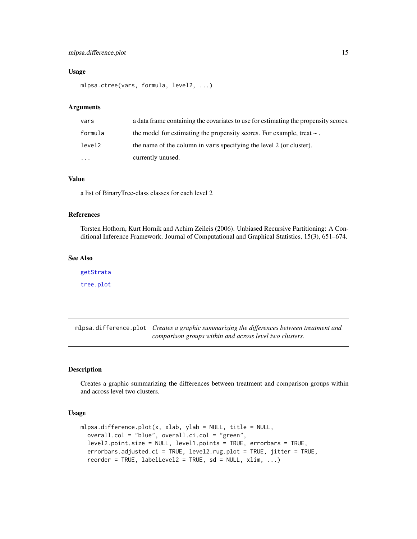#### <span id="page-14-0"></span>mlpsa.difference.plot 15

#### Usage

```
mlpsa.ctree(vars, formula, level2, ...)
```
#### Arguments

| vars     | a data frame containing the covariates to use for estimating the propensity scores. |
|----------|-------------------------------------------------------------------------------------|
| formula  | the model for estimating the propensity scores. For example, treat $\sim$ .         |
| level2   | the name of the column in vars specifying the level 2 (or cluster).                 |
| $\cdots$ | currently unused.                                                                   |

#### Value

a list of BinaryTree-class classes for each level 2

#### References

Torsten Hothorn, Kurt Hornik and Achim Zeileis (2006). Unbiased Recursive Partitioning: A Conditional Inference Framework. Journal of Computational and Graphical Statistics, 15(3), 651–674.

#### See Also

[getStrata](#page-7-1) [tree.plot](#page-25-1)

mlpsa.difference.plot *Creates a graphic summarizing the differences between treatment and comparison groups within and across level two clusters.*

#### Description

Creates a graphic summarizing the differences between treatment and comparison groups within and across level two clusters.

```
mlpsa.difference.plot(x, xlab, ylab = NULL, title = NULL,
 overall.col = "blue", overall.ci.col = "green",
  level2.point.size = NULL, level1.points = TRUE, errorbars = TRUE,
 errorbars.adjusted.ci = TRUE, level2.rug.plot = TRUE, jitter = TRUE,
 reorder = TRUE, labelLevel2 = TRUE, sd = NULL, xlim, ...)
```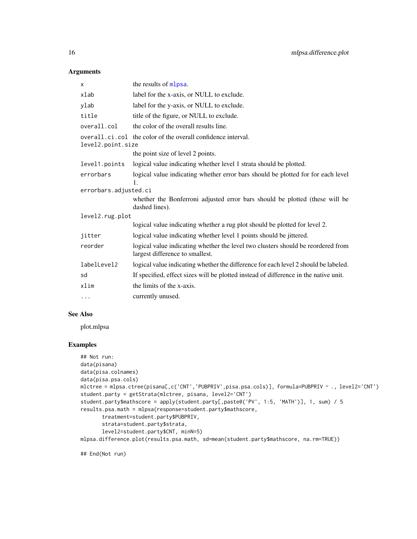#### <span id="page-15-0"></span>Arguments

| X                                                                                 | the results of mlpsa.                                                                                               |  |
|-----------------------------------------------------------------------------------|---------------------------------------------------------------------------------------------------------------------|--|
| xlab                                                                              | label for the x-axis, or NULL to exclude.                                                                           |  |
| ylab                                                                              | label for the y-axis, or NULL to exclude.                                                                           |  |
| title                                                                             | title of the figure, or NULL to exclude.                                                                            |  |
| overall.col                                                                       | the color of the overall results line.                                                                              |  |
| overall.ci.col the color of the overall confidence interval.<br>level2.point.size |                                                                                                                     |  |
|                                                                                   | the point size of level 2 points.                                                                                   |  |
| level1.points                                                                     | logical value indicating whether level 1 strata should be plotted.                                                  |  |
| errorbars                                                                         | logical value indicating whether error bars should be plotted for for each level<br>$\mathbf{1}$ .                  |  |
| errorbars.adjusted.ci                                                             |                                                                                                                     |  |
|                                                                                   | whether the Bonferroni adjusted error bars should be plotted (these will be<br>dashed lines).                       |  |
| level2.rug.plot                                                                   |                                                                                                                     |  |
|                                                                                   | logical value indicating whether a rug plot should be plotted for level 2.                                          |  |
| jitter                                                                            | logical value indicating whether level 1 points should be jittered.                                                 |  |
| reorder                                                                           | logical value indicating whether the level two clusters should be reordered from<br>largest difference to smallest. |  |
| labelLevel2                                                                       | logical value indicating whether the difference for each level 2 should be labeled.                                 |  |
| sd                                                                                | If specified, effect sizes will be plotted instead of difference in the native unit.                                |  |
| xlim                                                                              | the limits of the x-axis.                                                                                           |  |
| $\cdots$                                                                          | currently unused.                                                                                                   |  |

#### See Also

plot.mlpsa

#### Examples

```
## Not run:
data(pisana)
data(pisa.colnames)
data(pisa.psa.cols)
mlctree = mlpsa.ctree(pisana[,c('CNT','PUBPRIV',pisa.psa.cols)], formula=PUBPRIV ~ ., level2='CNT')
student.party = getStrata(mlctree, pisana, level2='CNT')
student.party$mathscore = apply(student.party[,paste0('PV', 1:5, 'MATH')], 1, sum) / 5
results.psa.math = mlpsa(response=student.party$mathscore,
       treatment=student.party$PUBPRIV,
       strata=student.party$strata,
       level2=student.party$CNT, minN=5)
mlpsa.difference.plot(results.psa.math, sd=mean(student.party$mathscore, na.rm=TRUE))
```
## End(Not run)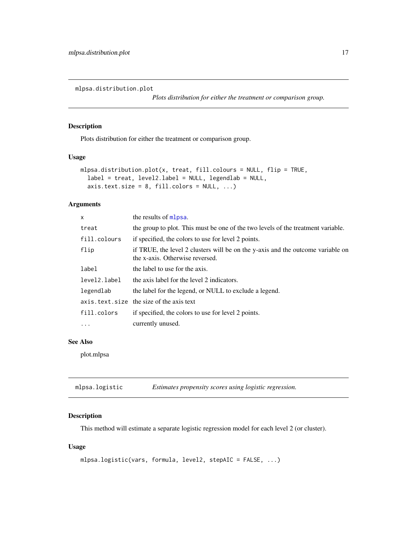<span id="page-16-2"></span><span id="page-16-0"></span>mlpsa.distribution.plot

*Plots distribution for either the treatment or comparison group.*

#### Description

Plots distribution for either the treatment or comparison group.

#### Usage

```
mlpsa.distribution.plot(x, treat, fill.colours = NULL, flip = TRUE,
  label = treat, level2.label = NULL, legendlab = NULL,
  axis.text.size = 8, fill.colors = NULL, ...)
```
#### Arguments

| $\mathsf{x}$ | the results of mlpsa.                                                                                              |
|--------------|--------------------------------------------------------------------------------------------------------------------|
| treat        | the group to plot. This must be one of the two levels of the treatment variable.                                   |
| fill.colours | if specified, the colors to use for level 2 points.                                                                |
| flip         | if TRUE, the level 2 clusters will be on the y-axis and the outcome variable on<br>the x-axis. Otherwise reversed. |
| label        | the label to use for the axis.                                                                                     |
| level2.label | the axis label for the level 2 indicators.                                                                         |
| legendlab    | the label for the legend, or NULL to exclude a legend.                                                             |
|              | axis.text.size the size of the axis text                                                                           |
| fill.colors  | if specified, the colors to use for level 2 points.                                                                |
| .            | currently unused.                                                                                                  |

#### See Also

plot.mlpsa

<span id="page-16-1"></span>

| mlpsa.logistic | Estimates propensity scores using logistic regression. |  |
|----------------|--------------------------------------------------------|--|
|----------------|--------------------------------------------------------|--|

#### Description

This method will estimate a separate logistic regression model for each level 2 (or cluster).

```
mlpsa.logistic(vars, formula, level2, stepAIC = FALSE, ...)
```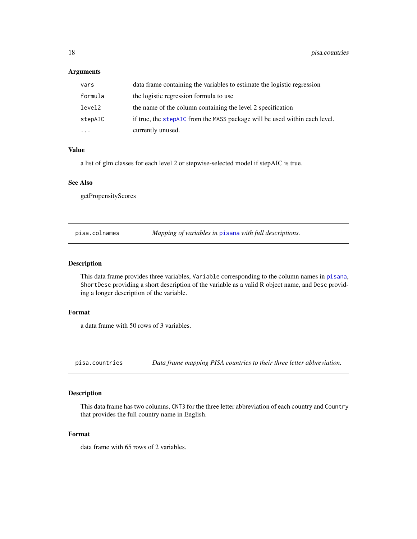#### <span id="page-17-0"></span>Arguments

| vars     | data frame containing the variables to estimate the logistic regression    |
|----------|----------------------------------------------------------------------------|
| formula  | the logistic regression formula to use                                     |
| level2   | the name of the column containing the level 2 specification                |
| stepAIC  | if true, the stepAIC from the MASS package will be used within each level. |
| $\cdots$ | currently unused.                                                          |

#### Value

a list of glm classes for each level 2 or stepwise-selected model if stepAIC is true.

#### See Also

getPropensityScores

pisa.colnames *Mapping of variables in* [pisana](#page-18-1) *with full descriptions.*

#### Description

This data frame provides three variables, Variable corresponding to the column names in [pisana](#page-18-1), ShortDesc providing a short description of the variable as a valid R object name, and Desc providing a longer description of the variable.

#### Format

a data frame with 50 rows of 3 variables.

pisa.countries *Data frame mapping PISA countries to their three letter abbreviation.*

#### Description

This data frame has two columns, CNT3 for the three letter abbreviation of each country and Country that provides the full country name in English.

#### Format

data frame with 65 rows of 2 variables.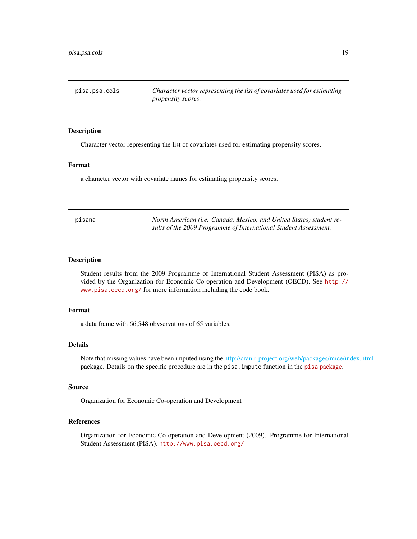<span id="page-18-0"></span>pisa.psa.cols *Character vector representing the list of covariates used for estimating propensity scores.*

#### Description

Character vector representing the list of covariates used for estimating propensity scores.

#### Format

a character vector with covariate names for estimating propensity scores.

<span id="page-18-1"></span>

| pisana | North American (i.e. Canada, Mexico, and United States) student re- |
|--------|---------------------------------------------------------------------|
|        | sults of the 2009 Programme of International Student Assessment.    |

#### Description

Student results from the 2009 Programme of International Student Assessment (PISA) as provided by the Organization for Economic Co-operation and Development (OECD). See [http://](http://www.pisa.oecd.org/) [www.pisa.oecd.org/](http://www.pisa.oecd.org/) for more information including the code book.

#### Format

a data frame with 66,548 obvservations of 65 variables.

#### Details

Note that missing values have been imputed using the [http://cran.r-project.org/web/packages/mice/index.html](#page-0-0) package. Details on the specific procedure are in the pisa.impute function in the pisa [package.](http://github.com/jbryer/pisa)

#### Source

Organization for Economic Co-operation and Development

#### References

Organization for Economic Co-operation and Development (2009). Programme for International Student Assessment (PISA). <http://www.pisa.oecd.org/>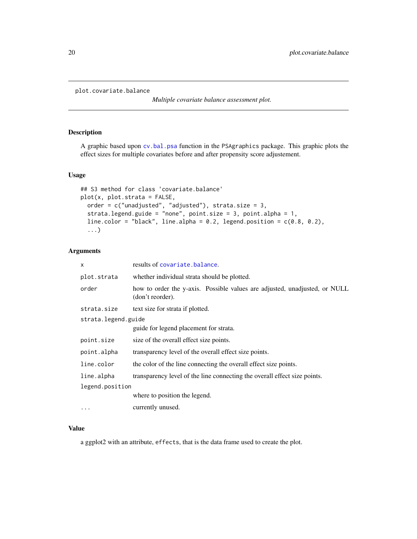```
plot.covariate.balance
```
*Multiple covariate balance assessment plot.*

#### Description

A graphic based upon [cv.bal.psa](#page-0-0) function in the PSAgraphics package. This graphic plots the effect sizes for multiple covariates before and after propensity score adjustement.

#### Usage

```
## S3 method for class 'covariate.balance'
plot(x, plot.strata = FALSE,
 order = c("unadjusted", "adjusted"), strata.size = 3,
  strata.legend.guide = "none", point.size = 3, point.alpha = 1,
  line.color = "black", line.alpha = 0.2, legend.position = c(0.8, 0.2),
  ...)
```
#### Arguments

| $\times$            | results of covariate.balance.                                                                  |  |
|---------------------|------------------------------------------------------------------------------------------------|--|
| plot.strata         | whether individual strata should be plotted.                                                   |  |
| order               | how to order the y-axis. Possible values are adjusted, unadjusted, or NULL<br>(don't reorder). |  |
| strata.size         | text size for strata if plotted.                                                               |  |
| strata.legend.guide |                                                                                                |  |
|                     | guide for legend placement for strata.                                                         |  |
| point.size          | size of the overall effect size points.                                                        |  |
| point.alpha         | transparency level of the overall effect size points.                                          |  |
| line.color          | the color of the line connecting the overall effect size points.                               |  |
| line.alpha          | transparency level of the line connecting the overall effect size points.                      |  |
| legend.position     |                                                                                                |  |
|                     | where to position the legend.                                                                  |  |
| $\cdots$            | currently unused.                                                                              |  |

#### Value

a ggplot2 with an attribute, effects, that is the data frame used to create the plot.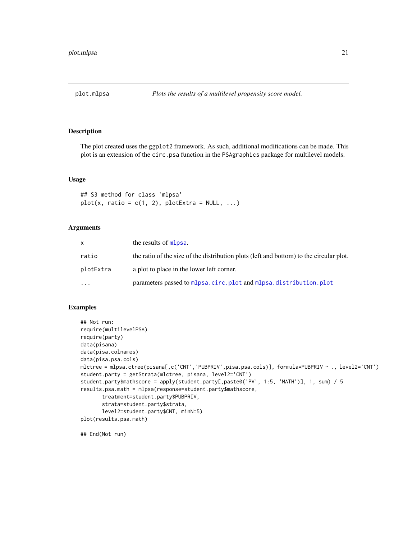<span id="page-20-1"></span><span id="page-20-0"></span>

#### Description

The plot created uses the ggplot2 framework. As such, additional modifications can be made. This plot is an extension of the circ.psa function in the PSAgraphics package for multilevel models.

#### Usage

```
## S3 method for class 'mlpsa'
plot(x, ratio = c(1, 2), plotExtra = NULL, ...)
```
#### Arguments

| X         | the results of mlpsa.                                                                   |
|-----------|-----------------------------------------------------------------------------------------|
| ratio     | the ratio of the size of the distribution plots (left and bottom) to the circular plot. |
| plotExtra | a plot to place in the lower left corner.                                               |
| .         | parameters passed to mlpsa.circ.plot and mlpsa.distribution.plot                        |

#### Examples

```
## Not run:
require(multilevelPSA)
require(party)
data(pisana)
data(pisa.colnames)
data(pisa.psa.cols)
mlctree = mlpsa.ctree(pisana[,c('CNT','PUBPRIV',pisa.psa.cols)], formula=PUBPRIV ~ ., level2='CNT')
student.party = getStrata(mlctree, pisana, level2='CNT')
student.party$mathscore = apply(student.party[,paste0('PV', 1:5, 'MATH')], 1, sum) / 5
results.psa.math = mlpsa(response=student.party$mathscore,
      treatment=student.party$PUBPRIV,
      strata=student.party$strata,
      level2=student.party$CNT, minN=5)
plot(results.psa.math)
```
## End(Not run)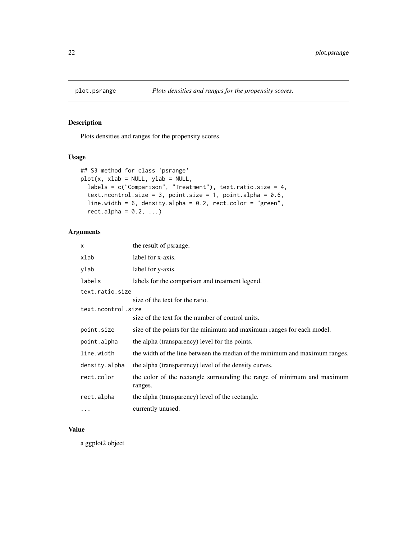<span id="page-21-0"></span>

#### Description

Plots densities and ranges for the propensity scores.

#### Usage

```
## S3 method for class 'psrange'
plot(x, xlab = NULL, ylab = NULL,labels = c("Comparison", "Treatment"), text.ratio.size = 4,
  text.ncontrol.size = 3, point.size = 1, point.alpha = 0.6,
 line.width = 6, density.alpha = 0.2, rect.color = "green",
  rect.alpha = 0.2, ...
```
#### Arguments

| x                  | the result of psrange.                                                             |
|--------------------|------------------------------------------------------------------------------------|
| xlab               | label for x-axis.                                                                  |
| ylab               | label for y-axis.                                                                  |
| labels             | labels for the comparison and treatment legend.                                    |
| text.ratio.size    |                                                                                    |
|                    | size of the text for the ratio.                                                    |
| text.ncontrol.size |                                                                                    |
|                    | size of the text for the number of control units.                                  |
| point.size         | size of the points for the minimum and maximum ranges for each model.              |
| point.alpha        | the alpha (transparency) level for the points.                                     |
| line.width         | the width of the line between the median of the minimum and maximum ranges.        |
| density.alpha      | the alpha (transparency) level of the density curves.                              |
| rect.color         | the color of the rectangle surrounding the range of minimum and maximum<br>ranges. |
| rect.alpha         | the alpha (transparency) level of the rectangle.                                   |
| .                  | currently unused.                                                                  |

#### Value

a ggplot2 object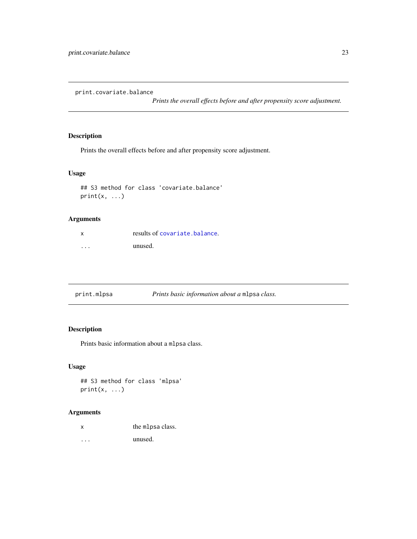<span id="page-22-0"></span>print.covariate.balance

*Prints the overall effects before and after propensity score adjustment.*

#### Description

Prints the overall effects before and after propensity score adjustment.

#### Usage

```
## S3 method for class 'covariate.balance'
print(x, \ldots)
```
#### Arguments

| <b>x</b> | results of covariate, balance. |
|----------|--------------------------------|
| .        | unused.                        |

| print.mlpsa | Prints basic information about a mlpsa class. |
|-------------|-----------------------------------------------|
|-------------|-----------------------------------------------|

#### Description

Prints basic information about a mlpsa class.

#### Usage

## S3 method for class 'mlpsa'  $print(x, \ldots)$ 

#### Arguments

x the mlpsa class.

... unused.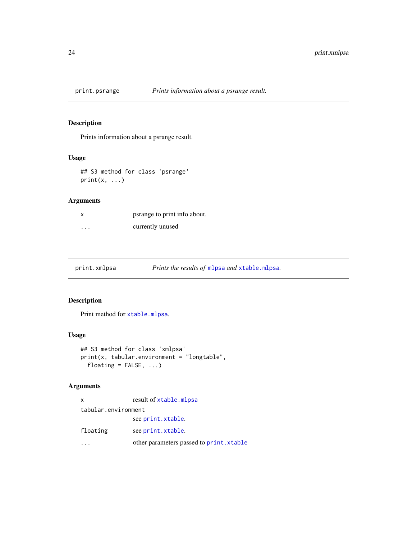<span id="page-23-0"></span>

#### Description

Prints information about a psrange result.

#### Usage

```
## S3 method for class 'psrange'
print(x, \ldots)
```
#### Arguments

| X        | psrange to print info about. |
|----------|------------------------------|
| $\cdots$ | currently unused             |

print.xmlpsa *Prints the results of* [mlpsa](#page-10-1) *and* [xtable.mlpsa](#page-26-1)*.*

#### Description

Print method for [xtable.mlpsa](#page-26-1).

#### Usage

```
## S3 method for class 'xmlpsa'
print(x, tabular.environment = "longtable",
 floating = FALSE, ...)
```

| $\mathsf{x}$        | result of xtable.mlpsa                  |  |
|---------------------|-----------------------------------------|--|
| tabular.environment |                                         |  |
|                     | see print.xtable.                       |  |
| floating            | see print.xtable.                       |  |
|                     | other parameters passed to print.xtable |  |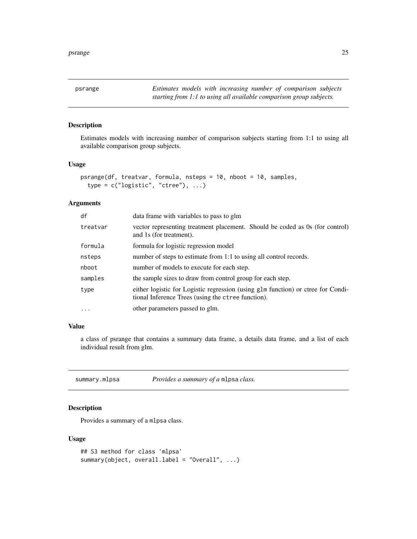<span id="page-24-0"></span>psrange *Estimates models with increasing number of comparison subjects starting from 1:1 to using all available comparison group subjects.*

#### Description

Estimates models with increasing number of comparison subjects starting from 1:1 to using all available comparison group subjects.

#### Usage

```
psrange(df, treatvar, formula, nsteps = 10, nboot = 10, samples,
  type = c("logistic", "ctree"), ...)
```
#### Arguments

| df       | data frame with variables to pass to glm                                                                                               |  |
|----------|----------------------------------------------------------------------------------------------------------------------------------------|--|
| treatvar | vector representing treatment placement. Should be coded as 0s (for control)<br>and 1s (for treatment).                                |  |
| formula  | formula for logistic regression model                                                                                                  |  |
| nsteps   | number of steps to estimate from 1:1 to using all control records.                                                                     |  |
| nboot    | number of models to execute for each step.                                                                                             |  |
| samples  | the sample sizes to draw from control group for each step.                                                                             |  |
| type     | either logistic for Logistic regression (using glm function) or ctree for Condi-<br>tional Inference Trees (using the ctree function). |  |
| $\cdots$ | other parameters passed to glm.                                                                                                        |  |

#### Value

a class of psrange that contains a summary data frame, a details data frame, and a list of each individual result from glm.

<span id="page-24-1"></span>summary.mlpsa *Provides a summary of a* mlpsa *class.*

#### Description

Provides a summary of a mlpsa class.

```
## S3 method for class 'mlpsa'
summary(object, overall.label = "Overall", ...)
```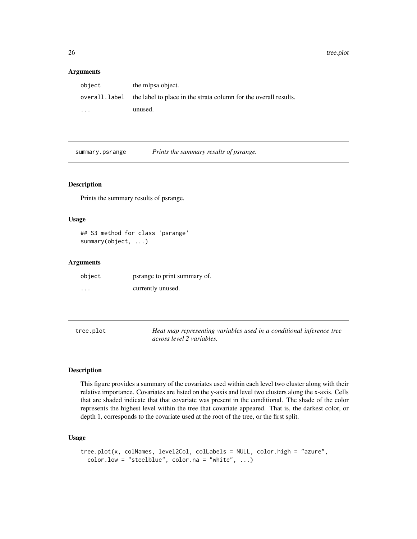<span id="page-25-0"></span>26 tree.plot

#### Arguments

| object                  | the mlpsa object.                                                |
|-------------------------|------------------------------------------------------------------|
| overall.label           | the label to place in the strata column for the overall results. |
| $\cdot$ $\cdot$ $\cdot$ | unused.                                                          |

summary.psrange *Prints the summary results of psrange.*

#### Description

Prints the summary results of psrange.

#### Usage

## S3 method for class 'psrange' summary(object, ...)

#### Arguments

| object   | psrange to print summary of. |
|----------|------------------------------|
| $\cdots$ | currently unused.            |

<span id="page-25-1"></span>

| tree.plot | Heat map representing variables used in a conditional inference tree |
|-----------|----------------------------------------------------------------------|
|           | across level 2 variables.                                            |

#### Description

This figure provides a summary of the covariates used within each level two cluster along with their relative importance. Covariates are listed on the y-axis and level two clusters along the x-axis. Cells that are shaded indicate that that covariate was present in the conditional. The shade of the color represents the highest level within the tree that covariate appeared. That is, the darkest color, or depth 1, corresponds to the covariate used at the root of the tree, or the first split.

```
tree.plot(x, colNames, level2Col, colLabels = NULL, color.high = "azure",
 color.low = "steelblue", color.na = "white", ...)
```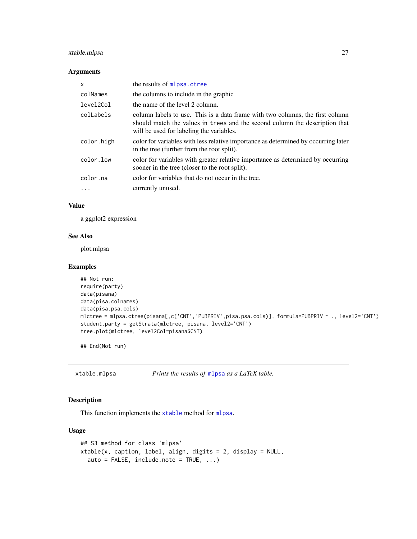#### <span id="page-26-0"></span>xtable.mlpsa 27

#### Arguments

| X          | the results of mlpsa.ctree                                                                                                                                                                               |
|------------|----------------------------------------------------------------------------------------------------------------------------------------------------------------------------------------------------------|
| colNames   | the columns to include in the graphic                                                                                                                                                                    |
| level2Col  | the name of the level 2 column.                                                                                                                                                                          |
| colLabels  | column labels to use. This is a data frame with two columns, the first column<br>should match the values in trees and the second column the description that<br>will be used for labeling the variables. |
| color.high | color for variables with less relative importance as determined by occurring later<br>in the tree (further from the root split).                                                                         |
| color.low  | color for variables with greater relative importance as determined by occurring<br>sooner in the tree (closer to the root split).                                                                        |
| color.na   | color for variables that do not occur in the tree.                                                                                                                                                       |
|            | currently unused.                                                                                                                                                                                        |
|            |                                                                                                                                                                                                          |

#### Value

a ggplot2 expression

#### See Also

plot.mlpsa

#### Examples

```
## Not run:
require(party)
data(pisana)
data(pisa.colnames)
data(pisa.psa.cols)
mlctree = mlpsa.ctree(pisana[,c('CNT','PUBPRIV',pisa.psa.cols)], formula=PUBPRIV ~ ., level2='CNT')
student.party = getStrata(mlctree, pisana, level2='CNT')
tree.plot(mlctree, level2Col=pisana$CNT)
```
## End(Not run)

<span id="page-26-1"></span>xtable.mlpsa *Prints the results of* [mlpsa](#page-10-1) *as a LaTeX table.*

#### Description

This function implements the [xtable](#page-0-0) method for [mlpsa](#page-10-1).

```
## S3 method for class 'mlpsa'
xtable(x, caption, label, align, digits = 2, display = NULL,
 auto = FALSE, include.note = TRUE, ...)
```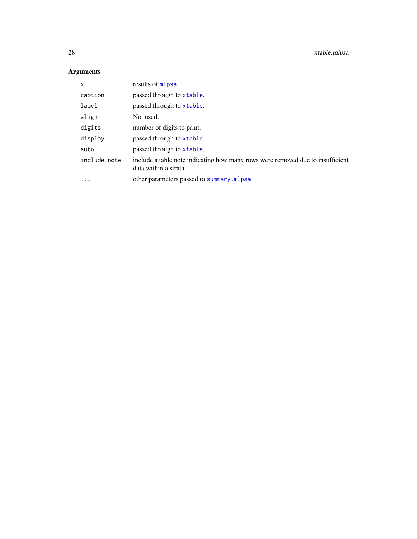<span id="page-27-0"></span>

| X            | results of mlpsa                                                                                        |
|--------------|---------------------------------------------------------------------------------------------------------|
| caption      | passed through to xtable.                                                                               |
| label        | passed through to xtable.                                                                               |
| align        | Not used.                                                                                               |
| digits       | number of digits to print.                                                                              |
| display      | passed through to xtable.                                                                               |
| auto         | passed through to xtable.                                                                               |
| include.note | include a table note indicating how many rows were removed due to insufficient<br>data within a strata. |
| $\ddotsc$    | other parameters passed to summary.mlpsa                                                                |